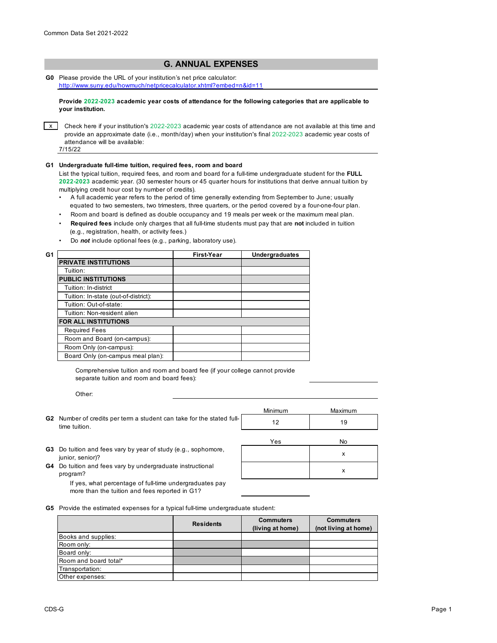## **G. ANNUAL EXPENSES**

**G0** Please provide the URL of your institution's net price calculator: http://www.suny.edu/howmuch/netpricecalculator.xhtml?embed=n&id=11

**Provide 2022-2023 academic year costs of attendance for the following categories that are applicable to your institution.**

 $x$  Check here if your institution's 2022-2023 academic year costs of attendance are not available at this time and provide an approximate date (i.e., month/day) when your institution's final 2022-2023 academic year costs of attendance will be available:

7/15/22

## **G1 Undergraduate full-time tuition, required fees, room and board**

List the typical tuition, required fees, and room and board for a full-time undergraduate student for the **FULL 2022-2023** academic year. (30 semester hours or 45 quarter hours for institutions that derive annual tuition by multiplying credit hour cost by number of credits).

- •A full academic year refers to the period of time generally extending from September to June; usually equated to two semesters, two trimesters, three quarters, or the period covered by a four-one-four plan.
- Room and board is defined as double occupancy and 19 meals per week or the maximum meal plan.
- • **Required fees** include only charges that all full-time students must pay that are **not** included in tuition (e.g., registration, health, or activity fees.)
- Do *not* include optional fees (e.g., parking, laboratory use).

|                                      | First-Year | <b>Undergraduates</b> |
|--------------------------------------|------------|-----------------------|
| <b>PRIVATE INSTITUTIONS</b>          |            |                       |
| Tuition:                             |            |                       |
| <b>PUBLIC INSTITUTIONS</b>           |            |                       |
| Tuition: In-district                 |            |                       |
| Tuition: In-state (out-of-district): |            |                       |
| Tuition: Out-of-state:               |            |                       |
| Tuition: Non-resident alien          |            |                       |
| <b>FOR ALL INSTITUTIONS</b>          |            |                       |
| <b>Required Fees</b>                 |            |                       |
| Room and Board (on-campus):          |            |                       |
| Room Only (on-campus):               |            |                       |
| Board Only (on-campus meal plan):    |            |                       |
|                                      |            |                       |

Comprehensive tuition and room and board fee (if your college cannot provide separate tuition and room and board fees):

Other:

|                                                                                               | Minimum | Maximum |
|-----------------------------------------------------------------------------------------------|---------|---------|
| <b>G2</b> Number of credits per term a student can take for the stated full-<br>time tuition. |         |         |

Yes No

- **G3** Do tuition and fees vary by year of study (e.g., sophomore,  $\frac{1}{2}$  x junior, senior)?
- **G4** Do tuition and fees vary by undergraduate instructional **SAL CONVERTS AND A RESERVENT OF A RESERVENT OF A RES** program?

If yes, what percentage of full-time undergraduates pay more than the tuition and fees reported in G1?

**G5** Provide the estimated expenses for a typical full-time undergraduate student:

|                       | <b>Residents</b> | <b>Commuters</b><br>(living at home) | <b>Commuters</b><br>(not living at home) |
|-----------------------|------------------|--------------------------------------|------------------------------------------|
| Books and supplies:   |                  |                                      |                                          |
| Room only:            |                  |                                      |                                          |
| Board only:           |                  |                                      |                                          |
| Room and board total* |                  |                                      |                                          |
| Transportation:       |                  |                                      |                                          |
| Other expenses:       |                  |                                      |                                          |